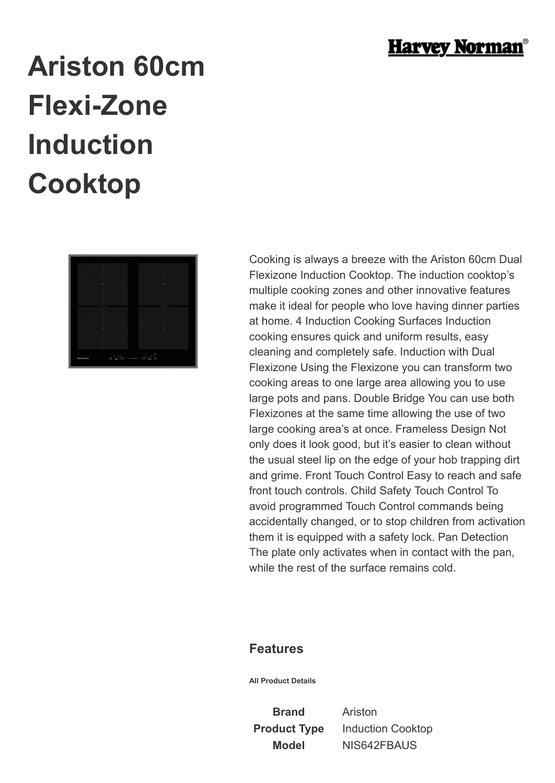

## **Ariston 60cm Flexi-Zone Induction Cooktop**



Cooking is always a breeze with the Ariston 60cm Dual Flexizone Induction Cooktop. The induction cooktop's multiple cooking zones and other innovative features make it ideal for people who love having dinner parties at home. 4 Induction Cooking Surfaces Induction cooking ensures quick and uniform results, easy cleaning and completely safe. Induction with Dual Flexizone Using the Flexizone you can transform two cooking areas to one large area allowing you to use large pots and pans. Double Bridge You can use both Flexizones at the same time allowing the use of two large cooking area's at once. Frameless Design Not only does it look good, but it's easier to clean without the usual steel lip on the edge of your hob trapping dirt and grime. Front Touch Control Easy to reach and safe front touch controls. Child Safety Touch Control To avoid programmed Touch Control commands being accidentally changed, or to stop children from activation them it is equipped with a safety lock. Pan Detection The plate only activates when in contact with the pan, while the rest of the surface remains cold.

## **Features**

**All Product Details**

**Brand** Ariston

**Product Type** Induction Cooktop **Model** NIS642FBAUS